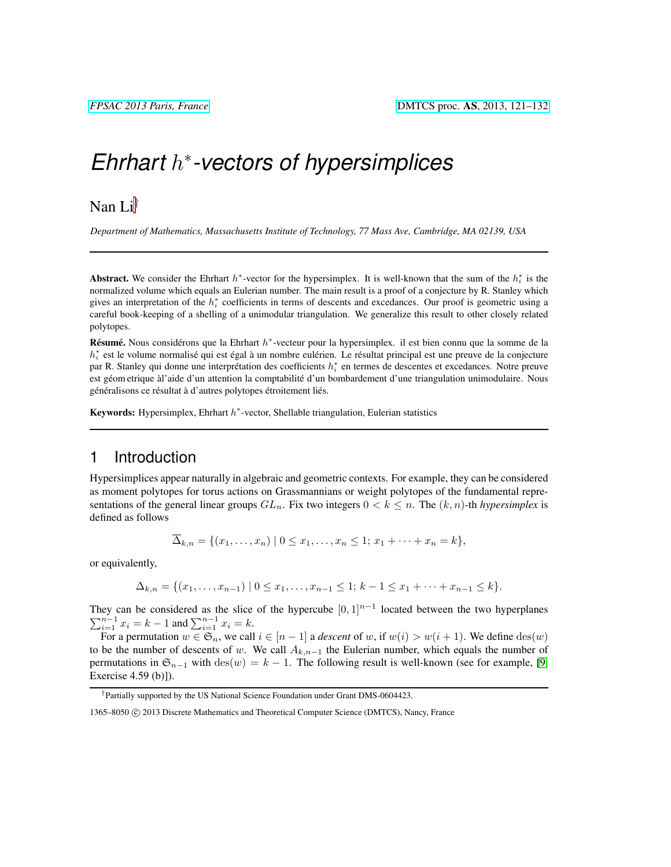# *Ehrhart* h ∗ *-vectors of hypersimplices*

# Nan Li†

*Department of Mathematics, Massachusetts Institute of Technology, 77 Mass Ave, Cambridge, MA 02139, USA*

Abstract. We consider the Ehrhart  $h^*$ -vector for the hypersimplex. It is well-known that the sum of the  $h_i^*$  is the normalized volume which equals an Eulerian number. The main result is a proof of a conjecture by R. Stanley which gives an interpretation of the  $h_i^*$  coefficients in terms of descents and excedances. Our proof is geometric using a careful book-keeping of a shelling of a unimodular triangulation. We generalize this result to other closely related polytopes.

Résumé. Nous considérons que la Ehrhart  $h^*$ -vecteur pour la hypersimplex. il est bien connu que la somme de la  $h_i^*$  est le volume normalisé qui est égal à un nombre eulérien. Le résultat principal est une preuve de la conjecture par R. Stanley qui donne une interprétation des coefficients  $h_i^*$  en termes de descentes et excedances. Notre preuve est géom etrique à l'aide d'un attention la comptabilité d'un bombardement d'une triangulation unimodulaire. Nous généralisons ce résultat à d'autres polytopes étroitement liés.

Keywords: Hypersimplex, Ehrhart  $h^*$ -vector, Shellable triangulation, Eulerian statistics

## 1 Introduction

Hypersimplices appear naturally in algebraic and geometric contexts. For example, they can be considered as moment polytopes for torus actions on Grassmannians or weight polytopes of the fundamental representations of the general linear groups  $GL_n$ . Fix two integers  $0 < k \leq n$ . The  $(k, n)$ -th *hypersimplex* is defined as follows

$$
\overline{\Delta}_{k,n} = \{(x_1,\ldots,x_n) \mid 0 \le x_1,\ldots,x_n \le 1; x_1+\cdots+x_n = k\},\
$$

or equivalently,

 $\Delta_{k,n} = \{(x_1, \ldots, x_{n-1}) \mid 0 \leq x_1, \ldots, x_{n-1} \leq 1; k-1 \leq x_1 + \cdots + x_{n-1} \leq k\}.$ 

They can be considered as the slice of the hypercube  $[0, 1]^{n-1}$  located between the two hyperplanes  $\sum_{i=1}^{n-1} x_i = k - 1$  and  $\sum_{i=1}^{n-1} x_i = k$ .

For a permutation  $w \in \mathfrak{S}_n$ , we call  $i \in [n-1]$  a *descent* of w, if  $w(i) > w(i+1)$ . We define  $\text{des}(w)$ to be the number of descents of w. We call  $A_{k,n-1}$  the Eulerian number, which equals the number of permutations in  $\mathfrak{S}_{n-1}$  with  $\text{des}(w) = k - 1$ . The following result is well-known (see for example, [\[9,](#page-11-0) Exercise 4.59 (b)]).

<span id="page-0-0"></span><sup>†</sup>Partially supported by the US National Science Foundation under Grant DMS-0604423.

<sup>1365–8050 (</sup>C) 2013 Discrete Mathematics and Theoretical Computer Science (DMTCS), Nancy, France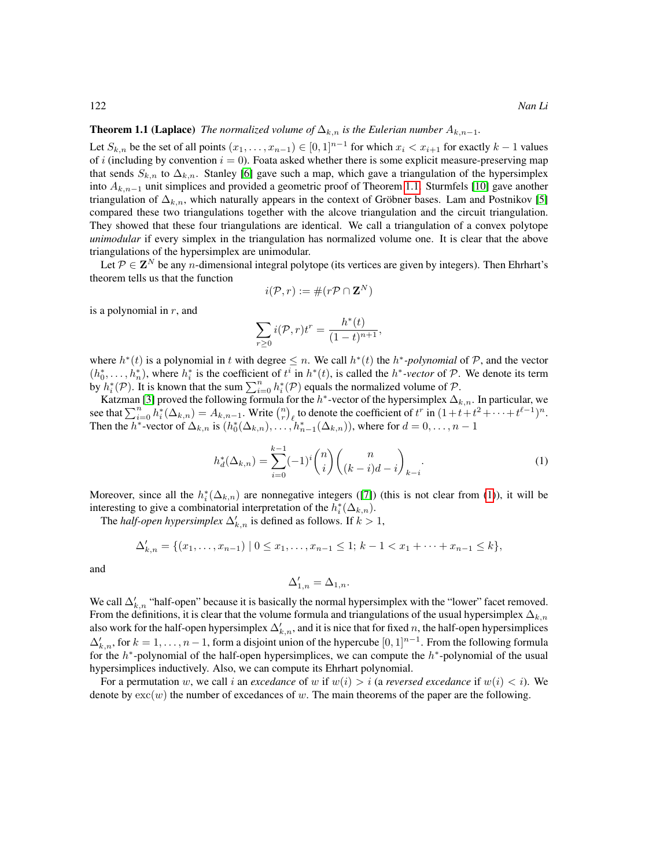#### **Theorem 1.1 (Laplace)** *The normalized volume of*  $\Delta_{k,n}$  *is the Eulerian number*  $A_{k,n-1}$ *.*

Let  $S_{k,n}$  be the set of all points  $(x_1, \ldots, x_{n-1}) \in [0,1]^{n-1}$  for which  $x_i < x_{i+1}$  for exactly  $k-1$  values of i (including by convention  $i = 0$ ). Foata asked whether there is some explicit measure-preserving map that sends  $S_{k,n}$  to  $\Delta_{k,n}$ . Stanley [\[6\]](#page-11-1) gave such a map, which gave a triangulation of the hypersimplex into  $A_{k,n-1}$  unit simplices and provided a geometric proof of Theorem [1.1.](#page-0-0) Sturmfels [\[10\]](#page-11-2) gave another triangulation of  $\Delta_{k,n}$ , which naturally appears in the context of Gröbner bases. Lam and Postnikov [\[5\]](#page-11-3) compared these two triangulations together with the alcove triangulation and the circuit triangulation. They showed that these four triangulations are identical. We call a triangulation of a convex polytope *unimodular* if every simplex in the triangulation has normalized volume one. It is clear that the above triangulations of the hypersimplex are unimodular.

Let  $P \in \mathbf{Z}^N$  be any *n*-dimensional integral polytope (its vertices are given by integers). Then Ehrhart's theorem tells us that the function

$$
i(\mathcal{P}, r) := \#(r\mathcal{P} \cap \mathbf{Z}^N)
$$

is a polynomial in  $r$ , and

<span id="page-1-0"></span>
$$
\sum_{r\geq 0} i(\mathcal{P}, r)t^r = \frac{h^*(t)}{(1-t)^{n+1}},
$$

where  $h^*(t)$  is a polynomial in t with degree  $\leq n$ . We call  $h^*(t)$  the  $h^*$ -polynomial of P, and the vector  $(h_0^*, \ldots, h_n^*)$ , where  $h_i^*$  is the coefficient of  $t^i$  in  $h^*(t)$ , is called the  $h^*$ -vector of P. We denote its term by  $h_i^*(P)$ . It is known that the sum  $\sum_{i=0}^n h_i^*(P)$  equals the normalized volume of P.

Katzman [\[3\]](#page-11-4) proved the following formula for the  $h^*$ -vector of the hypersimplex  $\Delta_{k,n}$ . In particular, we see that  $\sum_{i=0}^{n} h_i^* (\Delta_{k,n}) = A_{k,n-1}$ . Write  $\binom{n}{r}$  to denote the coefficient of  $t^r$  in  $(1+t+t^2+\cdots+t^{\ell-1})^n$ . Then the  $h^*$ -vector of  $\Delta_{k,n}$  is  $(h_0^*(\Delta_{k,n}), \ldots, h_{n-1}^*(\Delta_{k,n}))$ , where for  $d = 0, \ldots, n-1$ 

$$
h_d^*(\Delta_{k,n}) = \sum_{i=0}^{k-1} (-1)^i \binom{n}{i} \binom{n}{(k-i)d-i}_{k-i}.
$$
 (1)

Moreover, since all the  $h_i^*(\Delta_{k,n})$  are nonnegative integers ([\[7\]](#page-11-5)) (this is not clear from [\(1\)](#page-1-0)), it will be interesting to give a combinatorial interpretation of the  $h_i^*(\Delta_{k,n})$ .

The *half-open hypersimplex*  $\Delta'_{k,n}$  is defined as follows. If  $k > 1$ ,

$$
\Delta'_{k,n} = \{ (x_1, \ldots, x_{n-1}) \mid 0 \le x_1, \ldots, x_{n-1} \le 1; k-1 < x_1 + \cdots + x_{n-1} \le k \},
$$

and

<span id="page-1-1"></span>
$$
\Delta'_{1,n} = \Delta_{1,n}.
$$

We call  $\Delta'_{k,n}$  "half-open" because it is basically the normal hypersimplex with the "lower" facet removed. From the definitions, it is clear that the volume formula and triangulations of the usual hypersimplex  $\Delta_{k,n}$ also work for the half-open hypersimplex  $\Delta'_{k,n}$ , and it is nice that for fixed n, the half-open hypersimplices  $\Delta'_{k,n}$ , for  $k = 1, \ldots, n-1$ , form a disjoint union of the hypercube  $[0, 1]^{n-1}$ . From the following formula for the  $h^*$ -polynomial of the half-open hypersimplices, we can compute the  $h^*$ -polynomial of the usual hypersimplices inductively. Also, we can compute its Ehrhart polynomial.

For a permutation w, we call i an *excedance* of w if  $w(i) > i$  (a *reversed excedance* if  $w(i) < i$ ). We denote by  $exc(w)$  the number of excedances of w. The main theorems of the paper are the following.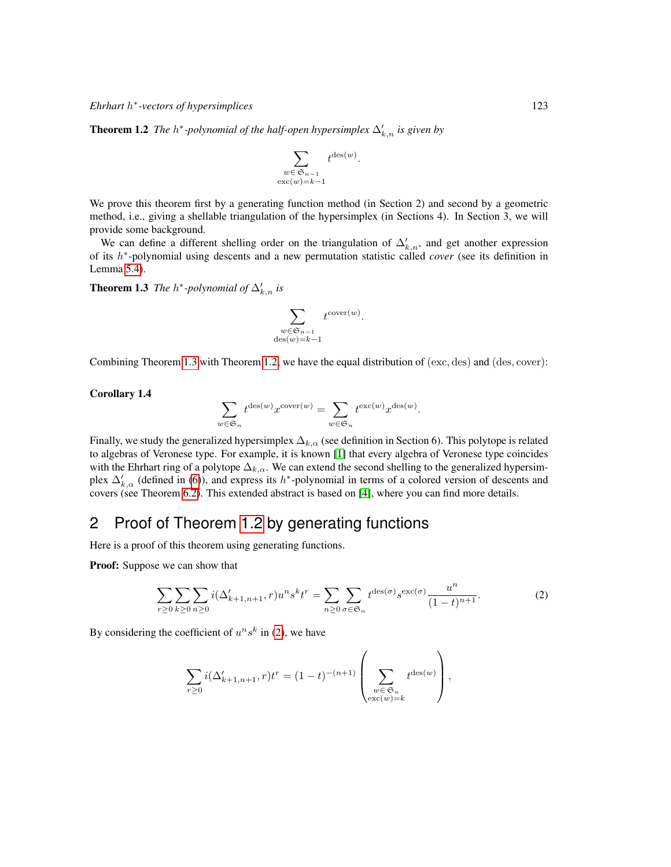**Theorem 1.2** The  $h^*$ -polynomial of the half-open hypersimplex  $\Delta'_{k,n}$  is given by

$$
\sum_{\substack{w \in \mathfrak{S}_{n-1} \\ \text{exc}(w)=k-1}} t^{\text{des}(w)}
$$

.

.

We prove this theorem first by a generating function method (in Section 2) and second by a geometric method, i.e., giving a shellable triangulation of the hypersimplex (in Sections 4). In Section 3, we will provide some background.

We can define a different shelling order on the triangulation of  $\Delta'_{k,n}$ , and get another expression of its h ∗ -polynomial using descents and a new permutation statistic called *cover* (see its definition in Lemma [5.4\)](#page-9-0).

<span id="page-2-0"></span>**Theorem 1.3** *The*  $h^*$ -polynomial of  $\Delta'_{k,n}$  is

$$
\sum_{\substack{w \in \mathfrak{S}_{n-1} \\ \text{des}(w)=k-1}} t^{\text{cover}(w)}
$$

Combining Theorem [1.3](#page-2-0) with Theorem [1.2,](#page-1-1) we have the equal distribution of (exc, des) and (des, cover):

#### Corollary 1.4

$$
\sum_{w \in \mathfrak{S}_n} t^{\text{des}(w)} x^{\text{cover}(w)} = \sum_{w \in \mathfrak{S}_n} t^{\text{exc}(w)} x^{\text{des}(w)}.
$$

Finally, we study the generalized hypersimplex  $\Delta_{k,\alpha}$  (see definition in Section 6). This polytope is related to algebras of Veronese type. For example, it is known [\[1\]](#page-11-6) that every algebra of Veronese type coincides with the Ehrhart ring of a polytope  $\Delta_{k,\alpha}$ . We can extend the second shelling to the generalized hypersimplex  $\Delta'_{k,\alpha}$  (defined in [\(6\)](#page-10-0)), and express its h<sup>\*</sup>-polynomial in terms of a colored version of descents and covers (see Theorem [6.2\)](#page-10-1). This extended abstract is based on [\[4\]](#page-11-7), where you can find more details.

# 2 Proof of Theorem [1.2](#page-1-1) by generating functions

Here is a proof of this theorem using generating functions.

Proof: Suppose we can show that

<span id="page-2-1"></span>
$$
\sum_{r\geq 0} \sum_{k\geq 0} \sum_{n\geq 0} i(\Delta'_{k+1,n+1}, r) u^n s^k t^r = \sum_{n\geq 0} \sum_{\sigma \in \mathfrak{S}_n} t^{\text{des}(\sigma)} s^{\text{exc}(\sigma)} \frac{u^n}{(1-t)^{n+1}}.
$$
 (2)

By considering the coefficient of  $u^n s^k$  in [\(2\)](#page-2-1), we have

$$
\sum_{r\geq 0} i(\Delta_{k+1,n+1}',r) t^r = (1-t)^{-(n+1)} \left(\sum_{\substack{w\in\mathfrak{S}_n\\ \text{exc}(w)=k}} t^{\text{des}(w)}\right),
$$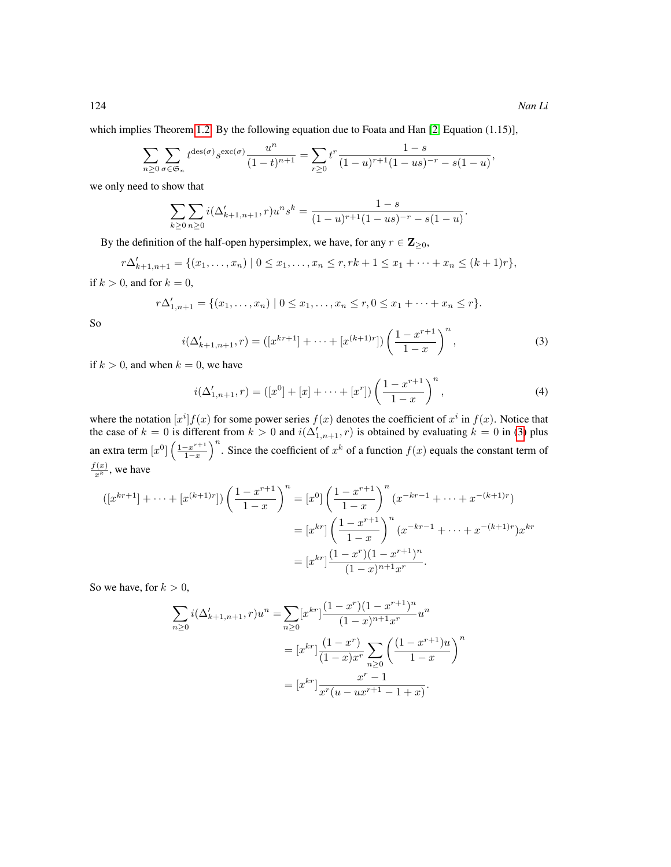which implies Theorem [1.2.](#page-1-1) By the following equation due to Foata and Han [\[2,](#page-11-8) Equation (1.15)],

$$
\sum_{n\geq 0} \sum_{\sigma \in \mathfrak{S}_n} t^{\mathrm{des}(\sigma)} s^{\mathrm{exc}(\sigma)} \frac{u^n}{(1-t)^{n+1}} = \sum_{r\geq 0} t^r \frac{1-s}{(1-u)^{r+1}(1-us)^{-r} - s(1-u)},
$$

we only need to show that

$$
\sum_{k\geq 0} \sum_{n\geq 0} i(\Delta'_{k+1,n+1}, r)u^n s^k = \frac{1-s}{(1-u)^{r+1}(1-us)^{-r} - s(1-u)}.
$$

By the definition of the half-open hypersimplex, we have, for any  $r \in \mathbb{Z}_{\geq 0}$ ,

$$
r\Delta'_{k+1,n+1} = \{(x_1,\ldots,x_n) \mid 0 \le x_1,\ldots,x_n \le r, rk+1 \le x_1+\cdots+x_n \le (k+1)r\},\
$$

if  $k > 0$ , and for  $k = 0$ ,

$$
r\Delta'_{1,n+1} = \{(x_1,\ldots,x_n) \mid 0 \le x_1,\ldots,x_n \le r, 0 \le x_1 + \cdots + x_n \le r\}.
$$

<span id="page-3-0"></span>So

$$
i(\Delta'_{k+1,n+1},r) = ([x^{kr+1}] + \dots + [x^{(k+1)r}]) \left(\frac{1-x^{r+1}}{1-x}\right)^n,
$$
\n(3)

if  $k > 0$ , and when  $k = 0$ , we have

<span id="page-3-1"></span>
$$
i(\Delta'_{1,n+1},r) = ([x^0] + [x] + \dots + [x^r]) \left(\frac{1 - x^{r+1}}{1 - x}\right)^n,
$$
\n(4)

where the notation  $[x^i]f(x)$  for some power series  $f(x)$  denotes the coefficient of  $x^i$  in  $f(x)$ . Notice that the case of  $k = 0$  is different from  $k > 0$  and  $i(\Delta'_{1,n+1}, r)$  is obtained by evaluating  $k = 0$  in [\(3\)](#page-3-0) plus an extra term  $[x^0]$   $\left(\frac{1-x^{r+1}}{1-x}\right)$  $\left(\frac{-x^{r+1}}{1-x}\right)^n$ . Since the coefficient of  $x^k$  of a function  $f(x)$  equals the constant term of  $\frac{f(x)}{x^k}$ , we have

$$
([x^{kr+1}] + \dots + [x^{(k+1)r}]) \left(\frac{1 - x^{r+1}}{1 - x}\right)^n = [x^0] \left(\frac{1 - x^{r+1}}{1 - x}\right)^n (x^{-kr-1} + \dots + x^{-(k+1)r})
$$

$$
= [x^{kr}] \left(\frac{1 - x^{r+1}}{1 - x}\right)^n (x^{-kr-1} + \dots + x^{-(k+1)r}) x^{kr}
$$

$$
= [x^{kr}] \frac{(1 - x^r)(1 - x^{r+1})^n}{(1 - x)^{n+1} x^r}.
$$

So we have, for  $k > 0$ ,

$$
\sum_{n\geq 0} i(\Delta'_{k+1,n+1}, r)u^n = \sum_{n\geq 0} [x^{kr}] \frac{(1-x^r)(1-x^{r+1})^n}{(1-x)^{n+1}x^r} u^n
$$
  

$$
= [x^{kr}] \frac{(1-x^r)}{(1-x)x^r} \sum_{n\geq 0} \left(\frac{(1-x^{r+1})u}{1-x}\right)^n
$$
  

$$
= [x^{kr}] \frac{x^r - 1}{x^r(u - ux^{r+1} - 1 + x)}.
$$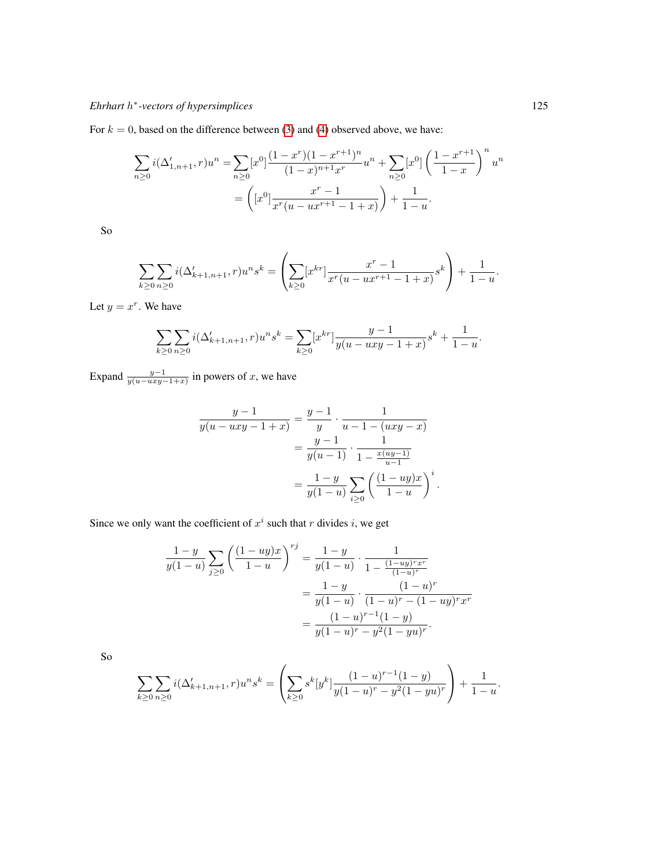For  $k = 0$ , based on the difference between [\(3\)](#page-3-0) and [\(4\)](#page-3-1) observed above, we have:

$$
\sum_{n\geq 0} i(\Delta'_{1,n+1}, r)u^n = \sum_{n\geq 0} [x^0] \frac{(1-x^r)(1-x^{r+1})^n}{(1-x)^{n+1}x^r} u^n + \sum_{n\geq 0} [x^0] \left(\frac{1-x^{r+1}}{1-x}\right)^n u^n
$$

$$
= \left( [x^0] \frac{x^r - 1}{x^r(u - ux^{r+1} - 1 + x)} \right) + \frac{1}{1-u}.
$$

So

$$
\sum_{k\geq 0} \sum_{n\geq 0} i(\Delta'_{k+1,n+1}, r)u^n s^k = \left(\sum_{k\geq 0} [x^{kr}] \frac{x^r - 1}{x^r(u - ux^{r+1} - 1 + x)} s^k\right) + \frac{1}{1 - u}.
$$

Let  $y = x^r$ . We have

$$
\sum_{k\geq 0}\sum_{n\geq 0}i(\Delta_{k+1,n+1}',r)u^ns^k=\sum_{k\geq 0}[x^{kr}]\frac{y-1}{y(u-uxy-1+x)}s^k+\frac{1}{1-u}.
$$

Expand  $\frac{y-1}{y(u-uxy-1+x)}$  in powers of x, we have

$$
\frac{y-1}{y(u-uxy-1+x)} = \frac{y-1}{y} \cdot \frac{1}{u-1-(uxy-x)}
$$

$$
= \frac{y-1}{y(u-1)} \cdot \frac{1}{1-\frac{x(uy-1)}{u-1}}
$$

$$
= \frac{1-y}{y(1-u)} \sum_{i\geq 0} \left(\frac{(1-uy)x}{1-u}\right)^i.
$$

Since we only want the coefficient of  $x^i$  such that r divides i, we get

$$
\frac{1-y}{y(1-u)}\sum_{j\geq 0} \left(\frac{(1-uy)x}{1-u}\right)^{rj} = \frac{1-y}{y(1-u)} \cdot \frac{1}{1 - \frac{(1-uy)^r x^r}{(1-u)^r}}
$$

$$
= \frac{1-y}{y(1-u)} \cdot \frac{(1-u)^r}{(1-u)^r - (1-uy)^r x^r}
$$

$$
= \frac{(1-u)^{r-1}(1-y)}{y(1-u)^r - y^2(1-yu)^r}.
$$

So

$$
\sum_{k\geq 0}\sum_{n\geq 0}i(\Delta_{k+1,n+1}',r)u^n s^k = \left(\sum_{k\geq 0} s^k [y^k] \frac{(1-u)^{r-1}(1-y)}{y(1-u)^r - y^2(1-yu)^r}\right) + \frac{1}{1-u}.
$$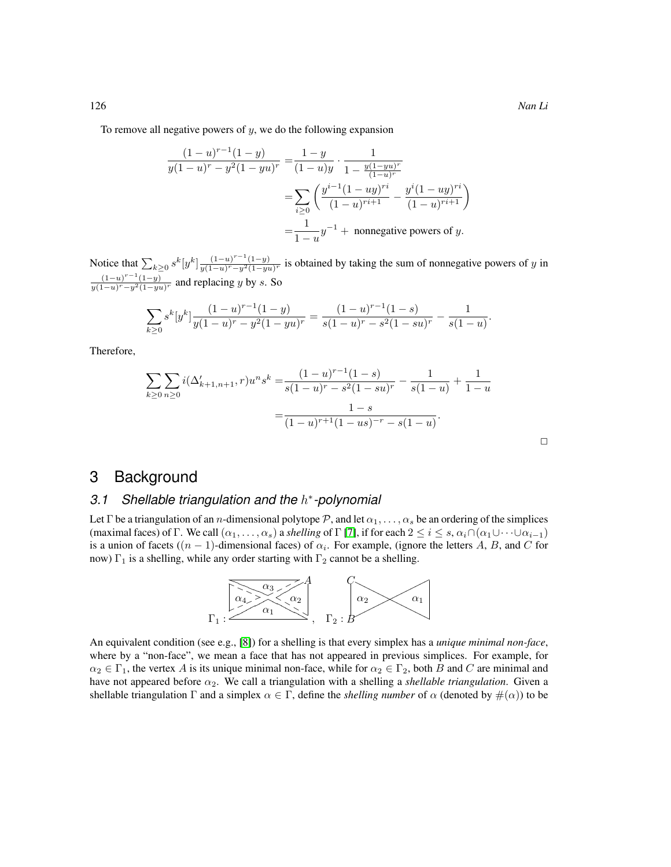To remove all negative powers of  $y$ , we do the following expansion

$$
\frac{(1-u)^{r-1}(1-y)}{y(1-u)^r - y^2(1-yu)^r} = \frac{1-y}{(1-u)y} \cdot \frac{1}{1 - \frac{y(1-yu)^r}{(1-u)^r}}
$$

$$
= \sum_{i\geq 0} \left(\frac{y^{i-1}(1-uy)^{ri}}{(1-u)^{ri+1}} - \frac{y^i(1-uy)^{ri}}{(1-u)^{ri+1}}\right)
$$

$$
= \frac{1}{1-u}y^{-1} + \text{ nonnegative powers of } y.
$$

Notice that  $\sum_{k\geq 0} s^k [y^k] \frac{(1-u)^{r-1}(1-y)}{y(1-u)^r - y^2(1-y)^2}$  $\frac{(1-u)}{y(1-u)^r-y^2(1-yu)^r}$  is obtained by taking the sum of nonnegative powers of y in  $(1-u)^{r-1}(1-y)$  $\frac{(1-u)}{y(1-u)^r-y^2(1-yu)^r}$  and replacing y by s. So

$$
\sum_{k\geq 0} s^k [y^k] \frac{(1-u)^{r-1} (1-y)}{y(1-u)^r - y^2 (1-yu)^r} = \frac{(1-u)^{r-1} (1-s)}{s(1-u)^r - s^2 (1-su)^r} - \frac{1}{s(1-u)}.
$$

Therefore,

$$
\sum_{k\geq 0} \sum_{n\geq 0} i(\Delta'_{k+1,n+1}, r)u^n s^k = \frac{(1-u)^{r-1}(1-s)}{s(1-u)^r - s^2(1-su)^r} - \frac{1}{s(1-u)} + \frac{1}{1-u}
$$

$$
= \frac{1-s}{(1-u)^{r+1}(1-us)^{-r} - s(1-u)}.
$$

### $\Box$

## 3 Background

## *3.1 Shellable triangulation and the* h ∗ *-polynomial*

Let Γ be a triangulation of an *n*-dimensional polytope P, and let  $\alpha_1, \ldots, \alpha_s$  be an ordering of the simplices (maximal faces) of Γ. We call  $(\alpha_1, \ldots, \alpha_s)$  a *shelling* of Γ [\[7\]](#page-11-5), if for each  $2 \le i \le s$ ,  $\alpha_i \cap (\alpha_1 \cup \cdots \cup \alpha_{i-1})$ is a union of facets  $((n - 1)$ -dimensional faces) of  $\alpha_i$ . For example, (ignore the letters A, B, and C for now)  $\Gamma_1$  is a shelling, while any order starting with  $\Gamma_2$  cannot be a shelling.



An equivalent condition (see e.g., [\[8\]](#page-11-9)) for a shelling is that every simplex has a *unique minimal non-face*, where by a "non-face", we mean a face that has not appeared in previous simplices. For example, for  $\alpha_2 \in \Gamma_1$ , the vertex A is its unique minimal non-face, while for  $\alpha_2 \in \Gamma_2$ , both B and C are minimal and have not appeared before  $\alpha_2$ . We call a triangulation with a shelling a *shellable triangulation*. Given a shellable triangulation  $\Gamma$  and a simplex  $\alpha \in \Gamma$ , define the *shelling number* of  $\alpha$  (denoted by  $\#(\alpha)$ ) to be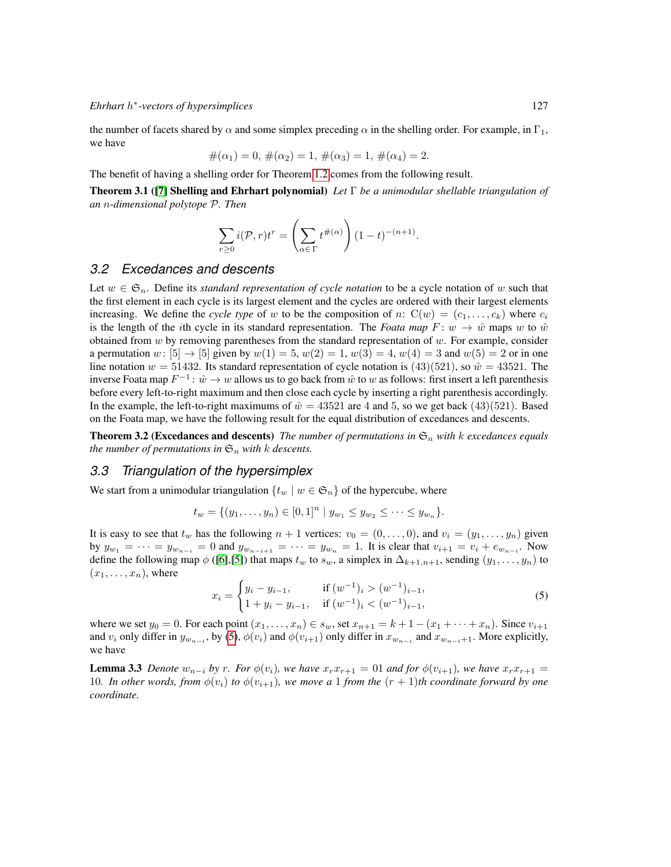the number of facets shared by  $\alpha$  and some simplex preceding  $\alpha$  in the shelling order. For example, in  $\Gamma_1$ , we have

$$
#(\alpha_1) = 0, \#(\alpha_2) = 1, \#(\alpha_3) = 1, \#(\alpha_4) = 2.
$$

The benefit of having a shelling order for Theorem [1.2](#page-1-1) comes from the following result.

Theorem 3.1 ([\[7\]](#page-11-5) Shelling and Ehrhart polynomial) *Let* Γ *be a unimodular shellable triangulation of an* n*-dimensional polytope* P*. Then*

<span id="page-6-2"></span>
$$
\sum_{r\geq 0} i(\mathcal{P}, r)t^r = \left(\sum_{\alpha \in \Gamma} t^{\#(\alpha)}\right) (1-t)^{-(n+1)}.
$$

#### *3.2 Excedances and descents*

Let  $w \in \mathfrak{S}_n$ . Define its *standard representation of cycle notation* to be a cycle notation of w such that the first element in each cycle is its largest element and the cycles are ordered with their largest elements increasing. We define the *cycle type* of w to be the composition of n:  $C(w) = (c_1, \ldots, c_k)$  where  $c_i$ is the length of the *i*th cycle in its standard representation. The *Foata map*  $F: w \to \hat{w}$  maps w to  $\hat{w}$ obtained from w by removing parentheses from the standard representation of  $w$ . For example, consider a permutation w:  $[5] \rightarrow [5]$  given by  $w(1) = 5$ ,  $w(2) = 1$ ,  $w(3) = 4$ ,  $w(4) = 3$  and  $w(5) = 2$  or in one line notation  $w = 51432$ . Its standard representation of cycle notation is (43)(521), so  $\hat{w} = 43521$ . The inverse Foata map  $F^{-1}$ :  $\hat{w} \to w$  allows us to go back from  $\hat{w}$  to w as follows: first insert a left parenthesis before every left-to-right maximum and then close each cycle by inserting a right parenthesis accordingly. In the example, the left-to-right maximums of  $\hat{w} = 43521$  are 4 and 5, so we get back (43)(521). Based on the Foata map, we have the following result for the equal distribution of excedances and descents.

**Theorem 3.2 (Excedances and descents)** *The number of permutations in*  $\mathfrak{S}_n$  *with* k *excedances equals the number of permutations in*  $\mathfrak{S}_n$  *with k descents.* 

#### *3.3 Triangulation of the hypersimplex*

We start from a unimodular triangulation  $\{t_w | w \in \mathfrak{S}_n\}$  of the hypercube, where

$$
t_w = \{(y_1, \ldots, y_n) \in [0,1]^n \mid y_{w_1} \leq y_{w_2} \leq \cdots \leq y_{w_n}\}.
$$

It is easy to see that  $t_w$  has the following  $n + 1$  vertices:  $v_0 = (0, \ldots, 0)$ , and  $v_i = (y_1, \ldots, y_n)$  given by  $y_{w_1} = \cdots = y_{w_{n-i}} = 0$  and  $y_{w_{n-i+1}} = \cdots = y_{w_n} = 1$ . It is clear that  $v_{i+1} = v_i + e_{w_{n-i}}$ . Now define the following map  $\phi$  ([\[6\]](#page-11-1),[\[5\]](#page-11-3)) that maps  $t_w$  to  $s_w$ , a simplex in  $\Delta_{k+1,n+1}$ , sending  $(y_1,\ldots,y_n)$  to  $(x_1, \ldots, x_n)$ , where

<span id="page-6-0"></span>
$$
x_i = \begin{cases} y_i - y_{i-1}, & \text{if } (w^{-1})_i > (w^{-1})_{i-1}, \\ 1 + y_i - y_{i-1}, & \text{if } (w^{-1})_i < (w^{-1})_{i-1}, \end{cases} \tag{5}
$$

where we set  $y_0 = 0$ . For each point  $(x_1, \ldots, x_n) \in s_w$ , set  $x_{n+1} = k+1-(x_1+\cdots+x_n)$ . Since  $v_{i+1}$ and  $v_i$  only differ in  $y_{w_{n-i}}$ , by [\(5\)](#page-6-0),  $\phi(v_i)$  and  $\phi(v_{i+1})$  only differ in  $x_{w_{n-i}}$  and  $x_{w_{n-i}+1}$ . More explicitly, we have

<span id="page-6-1"></span>**Lemma 3.3** *Denote*  $w_{n-i}$  *by* r. For  $\phi(v_i)$ *, we have*  $x_rx_{r+1} = 01$  *and for*  $\phi(v_{i+1})$ *, we have*  $x_rx_{r+1} = 0$ 10*. In other words, from*  $\phi(v_i)$  to  $\phi(v_{i+1})$ *, we move a* 1 *from the*  $(r + 1)$ *th coordinate forward by one coordinate.*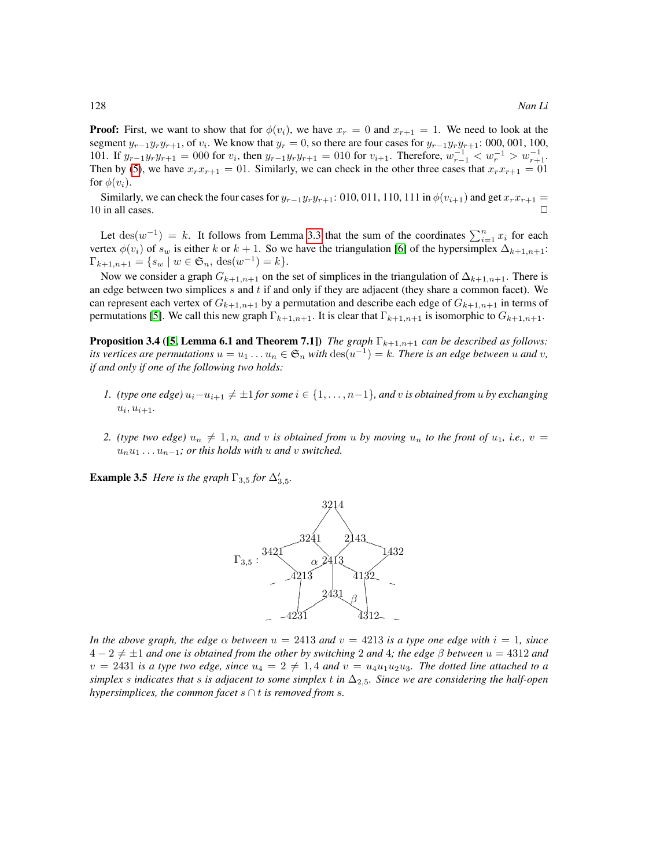**Proof:** First, we want to show that for  $\phi(v_i)$ , we have  $x_r = 0$  and  $x_{r+1} = 1$ . We need to look at the segment  $y_{r-1}y_r y_{r+1}$ , of  $v_i$ . We know that  $y_r = 0$ , so there are four cases for  $y_{r-1}y_r y_{r+1}$ : 000, 001, 100, 101. If  $y_{r-1}y_r y_{r+1} = 000$  for  $v_i$ , then  $y_{r-1}y_r y_{r+1} = 010$  for  $v_{i+1}$ . Therefore,  $w_{r-1}^{-1} < w_r^{-1} > w_{r+1}^{-1}$ . Then by [\(5\)](#page-6-0), we have  $x_rx_{r+1} = 01$ . Similarly, we can check in the other three cases that  $x_rx_{r+1} = 01$ . for  $\phi(v_i)$ .

Similarly, we can check the four cases for  $y_{r-1}y_ry_{r+1}$ : 010, 011, 110, 111 in  $\phi(v_{i+1})$  and get  $x_rx_{r+1} =$ 10 in all cases.  $\Box$ 

Let  $\text{des}(w^{-1}) = k$ . It follows from Lemma [3.3](#page-6-1) that the sum of the coordinates  $\sum_{i=1}^{n} x_i$  for each vertex  $\phi(v_i)$  of  $s_w$  is either k or  $k + 1$ . So we have the triangulation [\[6\]](#page-11-1) of the hypersimplex  $\Delta_{k+1,n+1}$ :  $\Gamma_{k+1,n+1} = \{ s_w \mid w \in \mathfrak{S}_n, \, \text{des}(w^{-1}) = k \}.$ 

Now we consider a graph  $G_{k+1,n+1}$  on the set of simplices in the triangulation of  $\Delta_{k+1,n+1}$ . There is an edge between two simplices  $s$  and  $t$  if and only if they are adjacent (they share a common facet). We can represent each vertex of  $G_{k+1,n+1}$  by a permutation and describe each edge of  $G_{k+1,n+1}$  in terms of permutations [\[5\]](#page-11-3). We call this new graph  $\Gamma_{k+1,n+1}$ . It is clear that  $\Gamma_{k+1,n+1}$  is isomorphic to  $G_{k+1,n+1}$ .

**Proposition 3.4 ([\[5,](#page-11-3) Lemma 6.1 and Theorem 7.1])** *The graph*  $\Gamma_{k+1,n+1}$  *can be described as follows: its vertices are permutations*  $u = u_1 \dots u_n \in \mathfrak{S}_n$  *with*  $\text{des}(u^{-1}) = k$ *. There is an edge between*  $u$  *and*  $v$ *, if and only if one of the following two holds:*

- *1. (type one edge)*  $u_i u_{i+1} \neq \pm 1$  *for some*  $i \in \{1, ..., n-1\}$ *, and v is obtained from u by exchanging*  $u_i, u_{i+1}.$
- *2. (type two edge)*  $u_n \neq 1, n$ , and v is obtained from u by moving  $u_n$  to the front of  $u_1$ , i.e.,  $v =$  $u_nu_1 \ldots u_{n-1}$ *; or this holds with u and v switched.*

**Example 3.5** *Here is the graph*  $\Gamma_{3,5}$  *for*  $\Delta'_{3,5}$ *.* 

<span id="page-7-0"></span>

*In the above graph, the edge*  $\alpha$  *between*  $u = 2413$  *and*  $v = 4213$  *is a type one edge with*  $i = 1$ *, since* 4 − 2 6= ±1 *and one is obtained from the other by switching* 2 *and* 4*; the edge* β *between* u = 4312 *and*  $v = 2431$  *is a type two edge, since*  $u_4 = 2 \neq 1, 4$  *and*  $v = u_4u_1u_2u_3$ *. The dotted line attached to a simplex* s *indicates that* s *is adjacent to some simplex* t *in* ∆2,5*. Since we are considering the half-open hypersimplices, the common facet* s ∩ t *is removed from* s*.*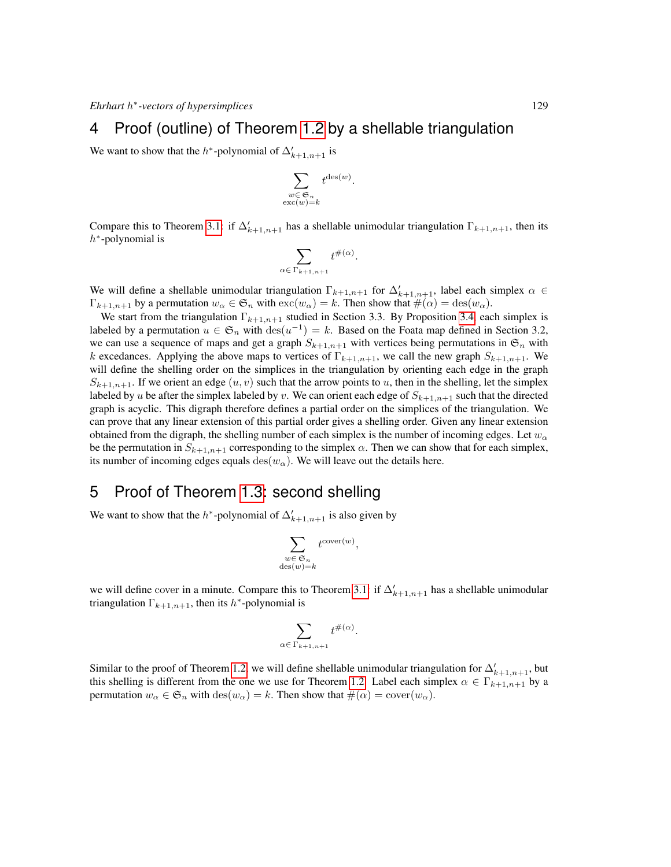# 4 Proof (outline) of Theorem [1.2](#page-1-1) by a shellable triangulation

We want to show that the  $h^*$ -polynomial of  $\Delta'_{k+1,n+1}$  is

$$
\sum_{\substack{w \in \mathfrak{S}_n \\ \text{exc}(w)=k}} t^{\text{des}(w)}.
$$

Compare this to Theorem [3.1:](#page-6-2) if  $\Delta'_{k+1,n+1}$  has a shellable unimodular triangulation  $\Gamma_{k+1,n+1}$ , then its  $h^*$ -polynomial is

$$
\sum_{\alpha \in \Gamma_{k+1,n+1}} t^{\#(\alpha)}.
$$

We will define a shellable unimodular triangulation  $\Gamma_{k+1,n+1}$  for  $\Delta'_{k+1,n+1}$ , label each simplex  $\alpha \in$  $\Gamma_{k+1,n+1}$  by a permutation  $w_\alpha \in \mathfrak{S}_n$  with  $\mathrm{exc}(w_\alpha) = k$ . Then show that  $\#(\alpha) = \mathrm{des}(w_\alpha)$ .

We start from the triangulation  $\Gamma_{k+1,n+1}$  studied in Section 3.3. By Proposition [3.4,](#page-7-0) each simplex is labeled by a permutation  $u \in \mathfrak{S}_n$  with  $\text{des}(u^{-1}) = k$ . Based on the Foata map defined in Section 3.2, we can use a sequence of maps and get a graph  $S_{k+1,n+1}$  with vertices being permutations in  $\mathfrak{S}_n$  with k excedances. Applying the above maps to vertices of  $\Gamma_{k+1,n+1}$ , we call the new graph  $S_{k+1,n+1}$ . We will define the shelling order on the simplices in the triangulation by orienting each edge in the graph  $S_{k+1,n+1}$ . If we orient an edge  $(u, v)$  such that the arrow points to u, then in the shelling, let the simplex labeled by u be after the simplex labeled by v. We can orient each edge of  $S_{k+1,n+1}$  such that the directed graph is acyclic. This digraph therefore defines a partial order on the simplices of the triangulation. We can prove that any linear extension of this partial order gives a shelling order. Given any linear extension obtained from the digraph, the shelling number of each simplex is the number of incoming edges. Let  $w_{\alpha}$ be the permutation in  $S_{k+1,n+1}$  corresponding to the simplex  $\alpha$ . Then we can show that for each simplex, its number of incoming edges equals des( $w_\alpha$ ). We will leave out the details here.

# 5 Proof of Theorem [1.3:](#page-2-0) second shelling

We want to show that the  $h^*$ -polynomial of  $\Delta'_{k+1,n+1}$  is also given by

$$
\sum_{\substack{w \in \mathfrak{S}_n \\ \operatorname{des}(w)=k}} t^{\operatorname{cover}(w)},
$$

we will define cover in a minute. Compare this to Theorem [3.1:](#page-6-2) if  $\Delta'_{k+1,n+1}$  has a shellable unimodular triangulation  $\Gamma_{k+1,n+1}$ , then its h<sup>\*</sup>-polynomial is

$$
\sum_{\alpha \in \Gamma_{k+1,n+1}} t^{\#(\alpha)}
$$

.

Similar to the proof of Theorem [1.2,](#page-1-1) we will define shellable unimodular triangulation for  $\Delta'_{k+1,n+1}$ , but this shelling is different from the one we use for Theorem [1.2.](#page-1-1) Label each simplex  $\alpha \in \Gamma_{k+1,n+1}$  by a permutation  $w_{\alpha} \in \mathfrak{S}_n$  with  $\text{des}(w_{\alpha}) = k$ . Then show that  $\#(\alpha) = \text{cover}(w_{\alpha})$ .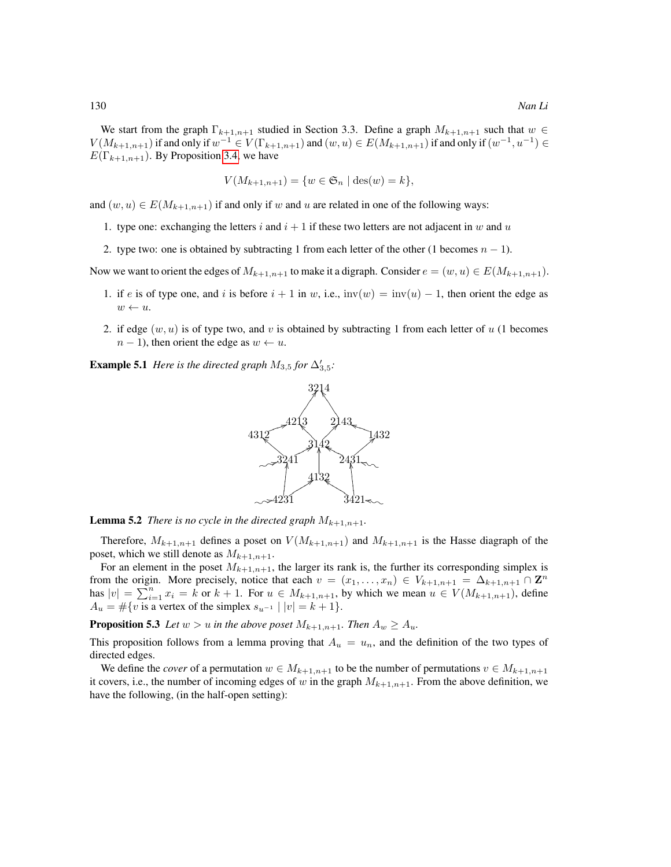We start from the graph  $\Gamma_{k+1,n+1}$  studied in Section 3.3. Define a graph  $M_{k+1,n+1}$  such that  $w \in$  $V(M_{k+1,n+1})$  if and only if  $w^{-1} \in V(\Gamma_{k+1,n+1})$  and  $(w,u) \in E(M_{k+1,n+1})$  if and only if  $(w^{-1},u^{-1}) \in$  $E(\Gamma_{k+1,n+1})$ . By Proposition [3.4,](#page-7-0) we have

$$
V(M_{k+1,n+1}) = \{ w \in \mathfrak{S}_n \mid \text{des}(w) = k \},
$$

and  $(w, u) \in E(M_{k+1,n+1})$  if and only if w and u are related in one of the following ways:

- 1. type one: exchanging the letters i and  $i + 1$  if these two letters are not adjacent in w and u
- 2. type two: one is obtained by subtracting 1 from each letter of the other (1 becomes  $n 1$ ).

Now we want to orient the edges of  $M_{k+1,n+1}$  to make it a digraph. Consider  $e = (w, u) \in E(M_{k+1,n+1})$ .

- 1. if e is of type one, and i is before  $i + 1$  in w, i.e.,  $inv(w) = inv(u) 1$ , then orient the edge as  $w \leftarrow u.$
- 2. if edge  $(w, u)$  is of type two, and v is obtained by subtracting 1 from each letter of u (1 becomes  $n - 1$ ), then orient the edge as  $w \leftarrow u$ .

**Example 5.1** *Here is the directed graph*  $M_{3,5}$  *for*  $\Delta'_{3,5}$ *:* 



**Lemma 5.2** *There is no cycle in the directed graph*  $M_{k+1,n+1}$ *.* 

Therefore,  $M_{k+1,n+1}$  defines a poset on  $V(M_{k+1,n+1})$  and  $M_{k+1,n+1}$  is the Hasse diagraph of the poset, which we still denote as  $M_{k+1,n+1}$ .

For an element in the poset  $M_{k+1,n+1}$ , the larger its rank is, the further its corresponding simplex is from the origin. More precisely, notice that each  $v = (x_1, \ldots, x_n) \in V_{k+1,n+1} = \Delta_{k+1,n+1} \cap \mathbb{Z}^n$ has  $|v| = \sum_{i=1}^{n} x_i = k$  or  $k+1$ . For  $u \in M_{k+1,n+1}$ , by which we mean  $u \in V(M_{k+1,n+1})$ , define  $A_u = #{v$  is a vertex of the simplex  $s_{u^{-1}} | |v| = k + 1}.$ 

**Proposition 5.3** *Let*  $w > u$  *in the above poset*  $M_{k+1,n+1}$ *. Then*  $A_w \geq A_u$ *.* 

This proposition follows from a lemma proving that  $A_u = u_n$ , and the definition of the two types of directed edges.

<span id="page-9-0"></span>We define the *cover* of a permutation  $w \in M_{k+1,n+1}$  to be the number of permutations  $v \in M_{k+1,n+1}$ it covers, i.e., the number of incoming edges of w in the graph  $M_{k+1,n+1}$ . From the above definition, we have the following, (in the half-open setting):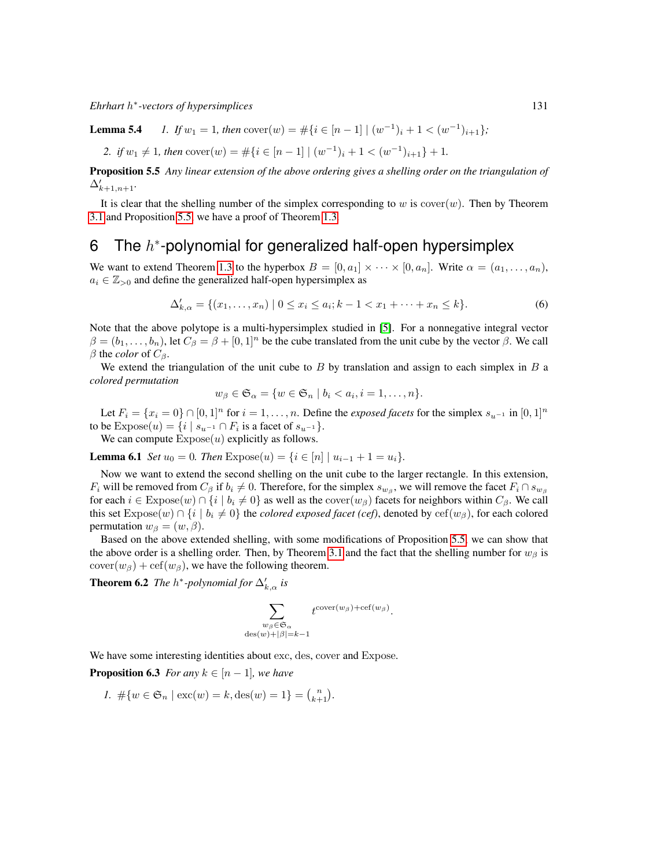*Ehrhart* h ∗ *-vectors of hypersimplices* 131

**Lemma 5.4** *1.* If  $w_1 = 1$ , then  $\text{cover}(w) = #\{i \in [n-1] \mid (w^{-1})_i + 1 < (w^{-1})_{i+1}\}$ ;

2. if  $w_1 \neq 1$ , then  $\text{cover}(w) = \#\{i \in [n-1] \mid (w^{-1})_i + 1 < (w^{-1})_{i+1}\} + 1$ .

<span id="page-10-2"></span>Proposition 5.5 *Any linear extension of the above ordering gives a shelling order on the triangulation of*  $\Delta'_{k+1,n+1}$ .

It is clear that the shelling number of the simplex corresponding to  $w$  is cover $(w)$ . Then by Theorem [3.1](#page-6-2) and Proposition [5.5,](#page-10-2) we have a proof of Theorem [1.3.](#page-2-0)

# 6 The  $h^*$ -polynomial for generalized half-open hypersimplex

We want to extend Theorem [1.3](#page-2-0) to the hyperbox  $B = [0, a_1] \times \cdots \times [0, a_n]$ . Write  $\alpha = (a_1, \ldots, a_n)$ ,  $a_i \in \mathbb{Z}_{>0}$  and define the generalized half-open hypersimplex as

$$
\Delta'_{k,\alpha} = \{(x_1, \dots, x_n) \mid 0 \le x_i \le a_i; k-1 < x_1 + \dots + x_n \le k\}.\tag{6}
$$

Note that the above polytope is a multi-hypersimplex studied in [\[5\]](#page-11-3). For a nonnegative integral vector  $\beta = (b_1, \ldots, b_n)$ , let  $C_\beta = \beta + [0, 1]^n$  be the cube translated from the unit cube by the vector  $\beta$ . We call  $β$  the *color* of  $C_β$ .

We extend the triangulation of the unit cube to  $B$  by translation and assign to each simplex in  $B$  a *colored permutation*

<span id="page-10-0"></span>
$$
w_{\beta} \in \mathfrak{S}_{\alpha} = \{ w \in \mathfrak{S}_n \mid b_i < a_i, i = 1, \dots, n \}.
$$

Let  $F_i = \{x_i = 0\} \cap [0, 1]^n$  for  $i = 1, \ldots, n$ . Define the *exposed facets* for the simplex  $s_{u^{-1}}$  in  $[0, 1]^n$ to be  $\text{Expose}(u) = \{i \mid s_{u^{-1}} \cap F_i \text{ is a facet of } s_{u^{-1}}\}.$ 

We can compute  $\text{Expose}(u)$  explicitly as follows.

**Lemma 6.1** *Set*  $u_0 = 0$ *. Then*  $\text{Expose}(u) = \{i \in [n] \mid u_{i-1} + 1 = u_i\}$ .

Now we want to extend the second shelling on the unit cube to the larger rectangle. In this extension,  $F_i$  will be removed from  $C_\beta$  if  $b_i \neq 0$ . Therefore, for the simplex  $s_{w_\beta}$ , we will remove the facet  $F_i \cap s_{w_\beta}$ for each  $i \in \text{Expose}(w) \cap \{i \mid b_i \neq 0\}$  as well as the cover $(w_\beta)$  facets for neighbors within  $C_\beta$ . We call this set  $\text{Expose}(w) \cap \{i \mid b_i \neq 0\}$  the *colored exposed facet (cef)*, denoted by cef( $w_\beta$ ), for each colored permutation  $w_{\beta} = (w, \beta)$ .

Based on the above extended shelling, with some modifications of Proposition [5.5,](#page-10-2) we can show that the above order is a shelling order. Then, by Theorem [3.1](#page-6-2) and the fact that the shelling number for  $w_\beta$  is  $\text{cover}(w_{\beta}) + \text{cef}(w_{\beta})$ , we have the following theorem.

**Theorem 6.2** *The*  $h^*$ -polynomial for  $\Delta'_{k,\alpha}$  is

<span id="page-10-1"></span>
$$
\sum_{\substack{w_{\beta} \in \mathfrak{S}_{\alpha} \\ \deg(w) + |\beta| = k-1}} t^{\text{cover}(w_{\beta}) + \text{cef}(w_{\beta})}.
$$

We have some interesting identities about exc, des, cover and Expose.

**Proposition 6.3** *For any*  $k \in [n-1]$ *, we have* 

*1.*  $\#\{w \in \mathfrak{S}_n \mid \text{exc}(w) = k, \text{des}(w) = 1\} = {n \choose k+1}.$